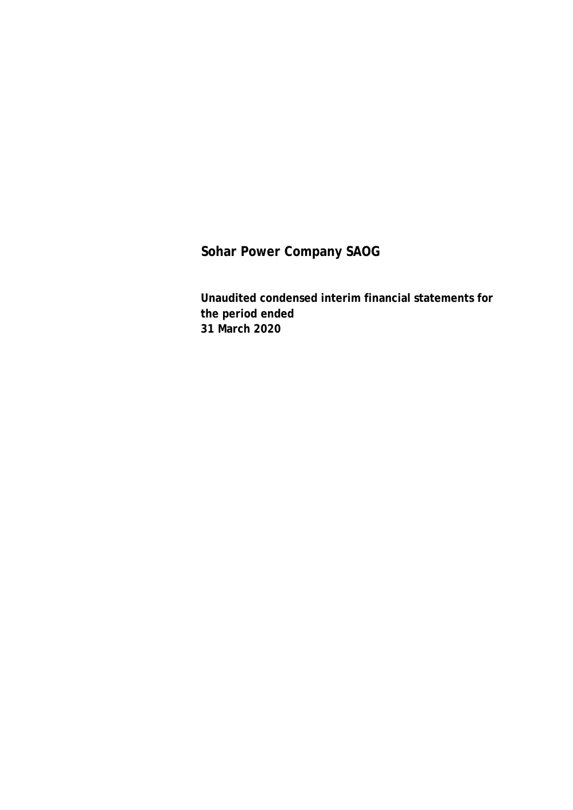**Unaudited condensed interim financial statements for the period ended 31 March 2020**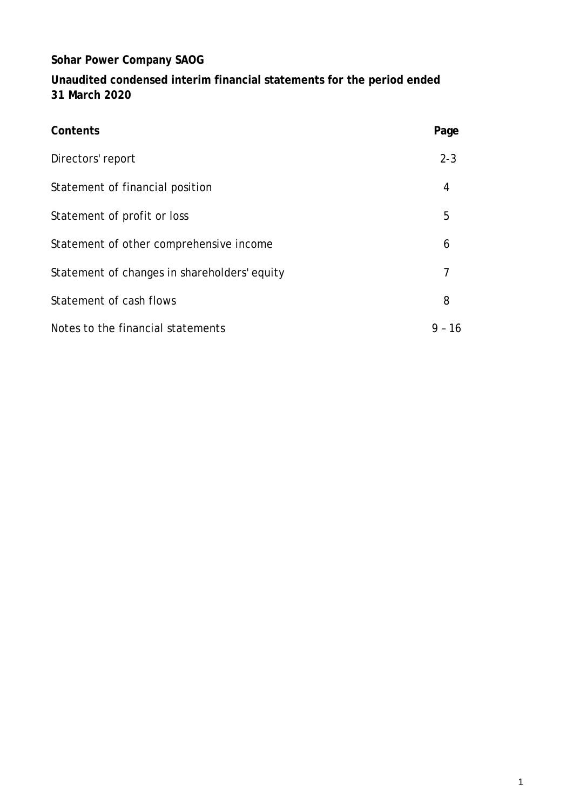**Unaudited condensed interim financial statements for the period ended 31 March 2020**

| Contents                                     | Page           |
|----------------------------------------------|----------------|
| Directors' report                            | $2 - 3$        |
| Statement of financial position              | 4              |
| Statement of profit or loss                  | 5              |
| Statement of other comprehensive income      | 6              |
| Statement of changes in shareholders' equity | $\overline{7}$ |
| Statement of cash flows                      | 8              |
| Notes to the financial statements            | -16<br>$9 -$   |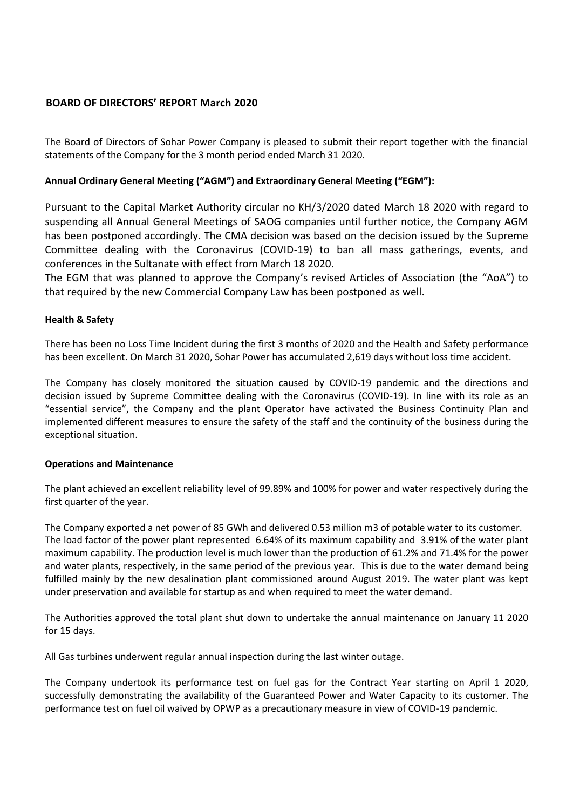### **BOARD OF DIRECTORS' REPORT March 2020**

The Board of Directors of Sohar Power Company is pleased to submit their report together with the financial statements of the Company for the 3 month period ended March 31 2020.

### **Annual Ordinary General Meeting ("AGM") and Extraordinary General Meeting ("EGM"):**

Pursuant to the Capital Market Authority circular no KH/3/2020 dated March 18 2020 with regard to suspending all Annual General Meetings of SAOG companies until further notice, the Company AGM has been postponed accordingly. The CMA decision was based on the decision issued by the Supreme Committee dealing with the Coronavirus (COVID-19) to ban all mass gatherings, events, and conferences in the Sultanate with effect from March 18 2020.

The EGM that was planned to approve the Company's revised Articles of Association (the "AoA") to that required by the new Commercial Company Law has been postponed as well.

### **Health & Safety**

There has been no Loss Time Incident during the first 3 months of 2020 and the Health and Safety performance has been excellent. On March 31 2020, Sohar Power has accumulated 2,619 days without loss time accident.

The Company has closely monitored the situation caused by COVID-19 pandemic and the directions and decision issued by Supreme Committee dealing with the Coronavirus (COVID-19). In line with its role as an "essential service", the Company and the plant Operator have activated the Business Continuity Plan and implemented different measures to ensure the safety of the staff and the continuity of the business during the exceptional situation.

#### **Operations and Maintenance**

The plant achieved an excellent reliability level of 99.89% and 100% for power and water respectively during the first quarter of the year.

The Company exported a net power of 85 GWh and delivered 0.53 million m3 of potable water to its customer. The load factor of the power plant represented 6.64% of its maximum capability and 3.91% of the water plant maximum capability. The production level is much lower than the production of 61.2% and 71.4% for the power and water plants, respectively, in the same period of the previous year. This is due to the water demand being fulfilled mainly by the new desalination plant commissioned around August 2019. The water plant was kept under preservation and available for startup as and when required to meet the water demand.

The Authorities approved the total plant shut down to undertake the annual maintenance on January 11 2020 for 15 days.

All Gas turbines underwent regular annual inspection during the last winter outage.

The Company undertook its performance test on fuel gas for the Contract Year starting on April 1 2020, successfully demonstrating the availability of the Guaranteed Power and Water Capacity to its customer. The performance test on fuel oil waived by OPWP as a precautionary measure in view of COVID-19 pandemic.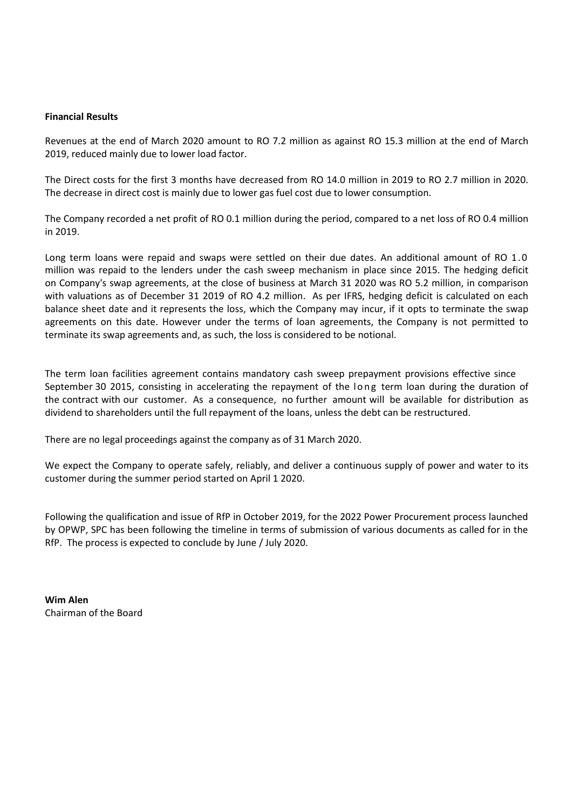#### **Financial Results**

Revenues at the end of March 2020 amount to RO 7.2 million as against RO 15.3 million at the end of March 2019, reduced mainly due to lower load factor.

The Direct costs for the first 3 months have decreased from RO 14.0 million in 2019 to RO 2.7 million in 2020. The decrease in direct cost is mainly due to lower gas fuel cost due to lower consumption.

The Company recorded a net profit of RO 0.1 million during the period, compared to a net loss of RO 0.4 million in 2019.

Long term loans were repaid and swaps were settled on their due dates. An additional amount of RO 1.0 million was repaid to the lenders under the cash sweep mechanism in place since 2015. The hedging deficit on Company's swap agreements, at the close of business at March 31 2020 was RO 5.2 million, in comparison with valuations as of December 31 2019 of RO 4.2 million. As per IFRS, hedging deficit is calculated on each balance sheet date and it represents the loss, which the Company may incur, if it opts to terminate the swap agreements on this date. However under the terms of loan agreements, the Company is not permitted to terminate its swap agreements and, as such, the loss is considered to be notional.

The term loan facilities agreement contains mandatory cash sweep prepayment provisions effective since September 30 2015, consisting in accelerating the repayment of the long term loan during the duration of the contract with our customer. As a consequence, no further amount will be available for distribution as dividend to shareholders until the full repayment of the loans, unless the debt can be restructured.

There are no legal proceedings against the company as of 31 March 2020.

We expect the Company to operate safely, reliably, and deliver a continuous supply of power and water to its customer during the summer period started on April 1 2020.

Following the qualification and issue of RfP in October 2019, for the 2022 Power Procurement process launched by OPWP, SPC has been following the timeline in terms of submission of various documents as called for in the RfP. The process is expected to conclude by June / July 2020.

**Wim Alen** Chairman of the Board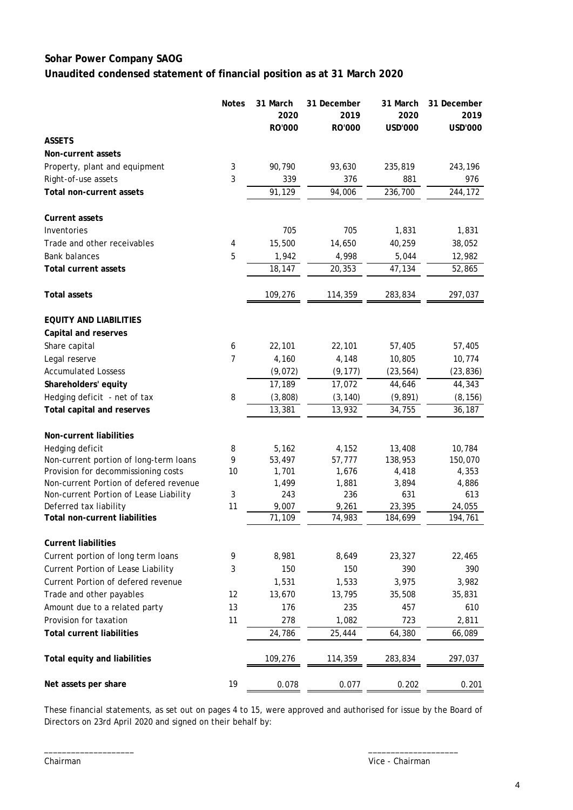### **Sohar Power Company SAOG Unaudited condensed statement of financial position as at 31 March 2020**

|                                        | <b>Notes</b> | 31 March<br>2020 | 31 December<br>2019 | 31 March<br>2020 | 31 December<br>2019 |
|----------------------------------------|--------------|------------------|---------------------|------------------|---------------------|
|                                        |              | RO'000           | RO'000              | USD'000          | USD'000             |
| <b>ASSETS</b>                          |              |                  |                     |                  |                     |
| Non-current assets                     |              |                  |                     |                  |                     |
| Property, plant and equipment          | 3            | 90,790           | 93,630              | 235,819          | 243,196             |
| Right-of-use assets                    | 3            | 339              | 376                 | 881              | 976                 |
| Total non-current assets               |              | 91,129           | 94,006              | 236,700          | 244,172             |
| <b>Current assets</b>                  |              |                  |                     |                  |                     |
| Inventories                            |              | 705              | 705                 | 1,831            | 1,831               |
| Trade and other receivables            | 4            | 15,500           | 14,650              | 40,259           | 38,052              |
| <b>Bank balances</b>                   | 5            | 1,942            | 4,998               | 5,044            | 12,982              |
| <b>Total current assets</b>            |              | 18,147           | 20,353              | 47,134           | 52,865              |
| <b>Total assets</b>                    |              | 109,276          | 114,359             | 283,834          | 297,037             |
| <b>EQUITY AND LIABILITIES</b>          |              |                  |                     |                  |                     |
| Capital and reserves                   |              |                  |                     |                  |                     |
| Share capital                          | 6            | 22,101           | 22,101              | 57,405           | 57,405              |
| Legal reserve                          | 7            | 4,160            | 4,148               | 10,805           | 10,774              |
| <b>Accumulated Lossess</b>             |              | (9,072)          | (9, 177)            | (23, 564)        | (23, 836)           |
| Shareholders' equity                   |              | 17,189           | 17,072              | 44,646           | 44,343              |
| Hedging deficit - net of tax           | 8            | (3, 808)         | (3, 140)            | (9, 891)         | (8, 156)            |
| Total capital and reserves             |              | 13,381           | 13,932              | 34,755           | 36,187              |
| Non-current liabilities                |              |                  |                     |                  |                     |
| Hedging deficit                        | 8            | 5,162            | 4,152               | 13,408           | 10,784              |
| Non-current portion of long-term loans | 9            | 53,497           | 57,777              | 138,953          | 150,070             |
| Provision for decommissioning costs    | 10           | 1,701            | 1,676               | 4,418            | 4,353               |
| Non-current Portion of defered revenue |              | 1,499            | 1,881               | 3,894            | 4,886               |
| Non-current Portion of Lease Liability | 3            | 243              | 236                 | 631              | 613                 |
| Deferred tax liability                 | 11           | 9,007            | 9,261               | 23,395           | 24,055              |
| <b>Total non-current liabilities</b>   |              | 71,109           | 74,983              | 184,699          | 194,761             |
| <b>Current liabilities</b>             |              |                  |                     |                  |                     |
| Current portion of long term loans     | 9            | 8,981            | 8,649               | 23,327           | 22,465              |
| Current Portion of Lease Liability     | 3            | 150              | 150                 | 390              | 390                 |
| Current Portion of defered revenue     |              | 1,531            | 1,533               | 3,975            | 3,982               |
| Trade and other payables               | 12           | 13,670           | 13,795              | 35,508           | 35,831              |
| Amount due to a related party          | 13           | 176              | 235                 | 457              | 610                 |
| Provision for taxation                 | 11           | 278              | 1,082               | 723              | 2,811               |
| <b>Total current liabilities</b>       |              | 24,786           | 25,444              | 64,380           | 66,089              |
| Total equity and liabilities           |              | 109,276          | 114,359             | 283,834          | 297,037             |
| Net assets per share                   | 19           | 0.078            | 0.077               | 0.202            | 0.201               |

These financial statements, as set out on pages 4 to 15, were approved and authorised for issue by the Board of Directors on 23rd April 2020 and signed on their behalf by:

\_\_\_\_\_\_\_\_\_\_\_\_\_\_\_\_\_\_\_\_ \_\_\_\_\_\_\_\_\_\_\_\_\_\_\_\_\_\_\_\_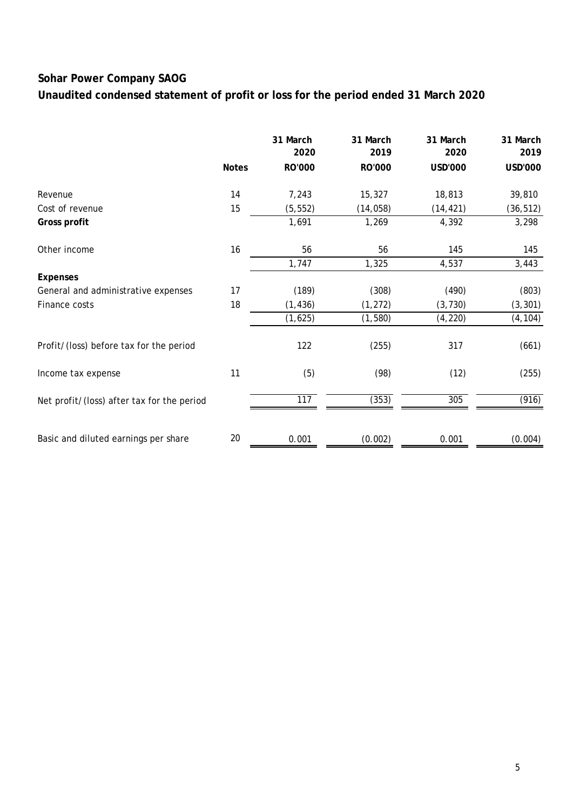**Unaudited condensed statement of profit or loss for the period ended 31 March 2020**

|                                            |              | 31 March<br>2020 | 31 March<br>2019 | 31 March<br>2020 | 31 March<br>2019 |
|--------------------------------------------|--------------|------------------|------------------|------------------|------------------|
|                                            | <b>Notes</b> | RO'000           | RO'000           | <b>USD'000</b>   | <b>USD'000</b>   |
| Revenue                                    | 14           | 7,243            | 15,327           | 18,813           | 39,810           |
| Cost of revenue                            | 15           | (5, 552)         | (14, 058)        | (14, 421)        | (36, 512)        |
| Gross profit                               |              | 1,691            | 1,269            | 4,392            | 3,298            |
| Other income                               | 16           | 56               | 56               | 145              | 145              |
|                                            |              | 1,747            | 1,325            | 4,537            | 3,443            |
| <b>Expenses</b>                            |              |                  |                  |                  |                  |
| General and administrative expenses        | 17           | (189)            | (308)            | (490)            | (803)            |
| Finance costs                              | 18           | (1, 436)         | (1, 272)         | (3, 730)         | (3, 301)         |
|                                            |              | (1,625)          | (1, 580)         | (4, 220)         | (4, 104)         |
| Profit/(loss) before tax for the period    |              | 122              | (255)            | 317              | (661)            |
| Income tax expense                         | 11           | (5)              | (98)             | (12)             | (255)            |
| Net profit/(loss) after tax for the period |              | 117              | (353)            | 305              | (916)            |
|                                            |              |                  |                  |                  |                  |
| Basic and diluted earnings per share       | 20           | 0.001            | (0.002)          | 0.001            | (0.004)          |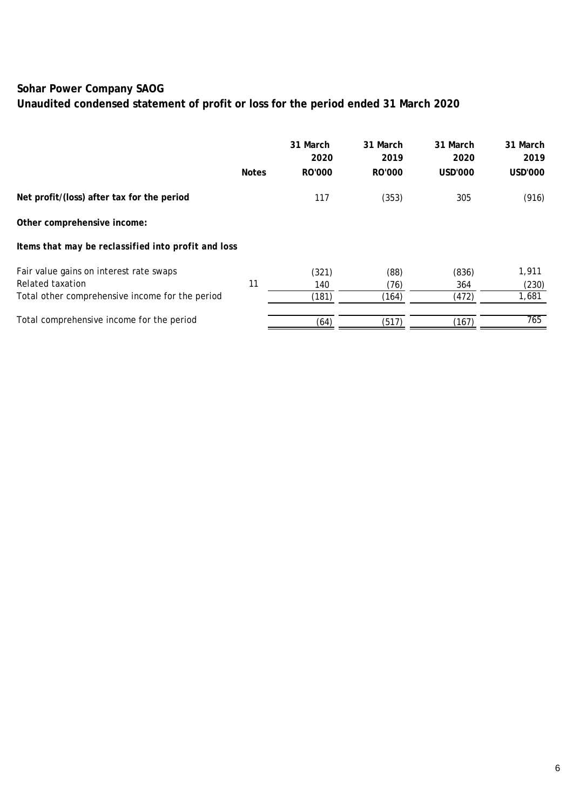# **Unaudited condensed statement of profit or loss for the period ended 31 March 2020**

|                                                     |              | 31 March<br>2020 | 31 March<br>2019 | 31 March<br>2020 | 31 March<br>2019 |
|-----------------------------------------------------|--------------|------------------|------------------|------------------|------------------|
|                                                     | <b>Notes</b> | RO'000           | RO'000           | USD'000          | USD'000          |
| Net profit/(loss) after tax for the period          |              | 117              | (353)            | 305              | (916)            |
| Other comprehensive income:                         |              |                  |                  |                  |                  |
| Items that may be reclassified into profit and loss |              |                  |                  |                  |                  |
| Fair value gains on interest rate swaps             |              | (321)            | (88)             | (836)            | 1,911            |
| Related taxation                                    | 11           | 140              | (76)             | 364              | (230)            |
| Total other comprehensive income for the period     |              | (181)            | (164)            | (472)            | 1,681            |
| Total comprehensive income for the period           |              | (64)             | (517)            | (167)            | 765              |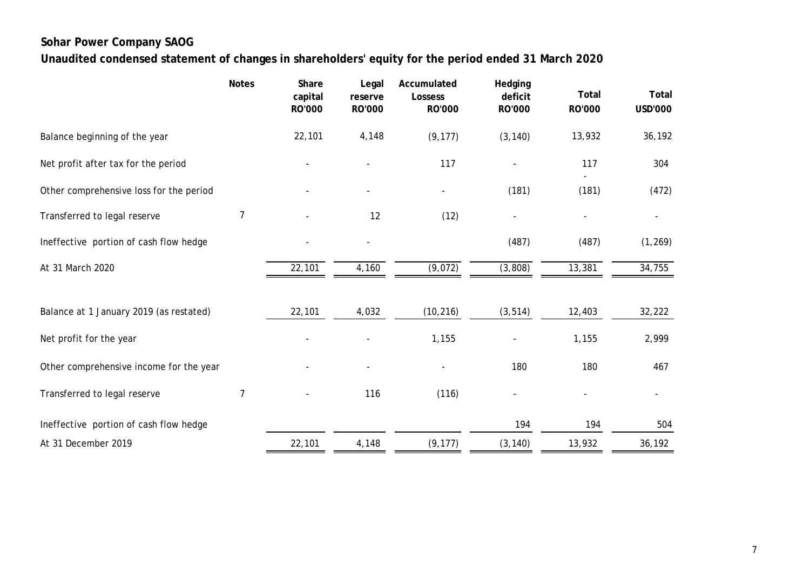**Unaudited condensed statement of changes in shareholders' equity for the period ended 31 March 2020**

|                                         | <b>Notes</b> | Share<br>capital<br>RO'000 | Legal<br>reserve<br>RO'000 | Accumulated<br>Lossess<br>RO'000 | Hedging<br>deficit<br>RO'000 | <b>Total</b><br>RO'000 | Total<br><b>USD'000</b> |
|-----------------------------------------|--------------|----------------------------|----------------------------|----------------------------------|------------------------------|------------------------|-------------------------|
| Balance beginning of the year           |              | 22,101                     | 4,148                      | (9, 177)                         | (3, 140)                     | 13,932                 | 36,192                  |
| Net profit after tax for the period     |              |                            |                            | 117                              |                              | 117                    | 304                     |
| Other comprehensive loss for the period |              |                            | $\overline{a}$             |                                  | (181)                        | (181)                  | (472)                   |
| Transferred to legal reserve            | 7            |                            | 12                         | (12)                             |                              |                        |                         |
| Ineffective portion of cash flow hedge  |              |                            |                            |                                  | (487)                        | (487)                  | (1, 269)                |
| At 31 March 2020                        |              | 22,101                     | 4,160                      | (9,072)                          | (3,808)                      | 13,381                 | 34,755                  |
| Balance at 1 January 2019 (as restated) |              | 22,101                     | 4,032                      | (10, 216)                        | (3, 514)                     | 12,403                 | 32,222                  |
| Net profit for the year                 |              |                            |                            | 1,155                            |                              | 1,155                  | 2,999                   |
| Other comprehensive income for the year |              |                            |                            |                                  | 180                          | 180                    | 467                     |
| Transferred to legal reserve            | 7            |                            | 116                        | (116)                            |                              |                        |                         |
| Ineffective portion of cash flow hedge  |              |                            |                            |                                  | 194                          | 194                    | 504                     |
| At 31 December 2019                     |              | 22,101                     | 4,148                      | (9, 177)                         | (3, 140)                     | 13,932                 | 36,192                  |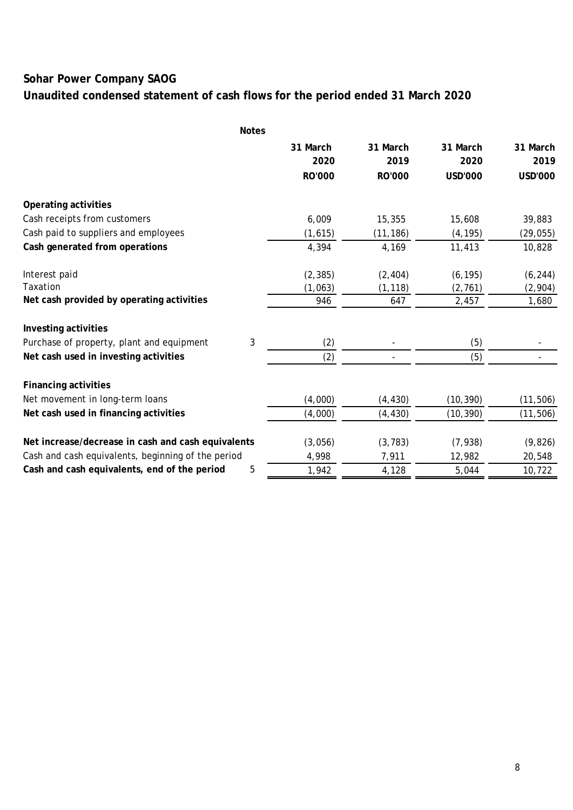# **Unaudited condensed statement of cash flows for the period ended 31 March 2020**

|                                                    | <b>Notes</b> |               |           |                |           |
|----------------------------------------------------|--------------|---------------|-----------|----------------|-----------|
|                                                    |              | 31 March      | 31 March  | 31 March       | 31 March  |
|                                                    |              | 2020          | 2019      | 2020           | 2019      |
|                                                    |              | <b>RO'000</b> | RO'000    | <b>USD'000</b> | USD'000   |
| Operating activities                               |              |               |           |                |           |
| Cash receipts from customers                       |              | 6,009         | 15,355    | 15,608         | 39,883    |
| Cash paid to suppliers and employees               |              | (1,615)       | (11, 186) | (4, 195)       | (29, 055) |
| Cash generated from operations                     |              | 4,394         | 4,169     | 11,413         | 10,828    |
| Interest paid                                      |              | (2, 385)      | (2, 404)  | (6, 195)       | (6, 244)  |
| Taxation                                           |              | (1,063)       | (1, 118)  | (2, 761)       | (2,904)   |
| Net cash provided by operating activities          |              | 946           | 647       | 2,457          | 1,680     |
| Investing activities                               |              |               |           |                |           |
| Purchase of property, plant and equipment          | $\sqrt{3}$   | (2)           |           | (5)            |           |
| Net cash used in investing activities              |              | (2)           |           | (5)            |           |
| <b>Financing activities</b>                        |              |               |           |                |           |
| Net movement in long-term loans                    |              | (4,000)       | (4, 430)  | (10, 390)      | (11, 506) |
| Net cash used in financing activities              |              | (4,000)       | (4, 430)  | (10, 390)      | (11, 506) |
| Net increase/decrease in cash and cash equivalents |              | (3,056)       | (3, 783)  | (7, 938)       | (9,826)   |
| Cash and cash equivalents, beginning of the period |              | 4,998         | 7,911     | 12,982         | 20,548    |
| Cash and cash equivalents, end of the period       | 5            | 1,942         | 4,128     | 5,044          | 10,722    |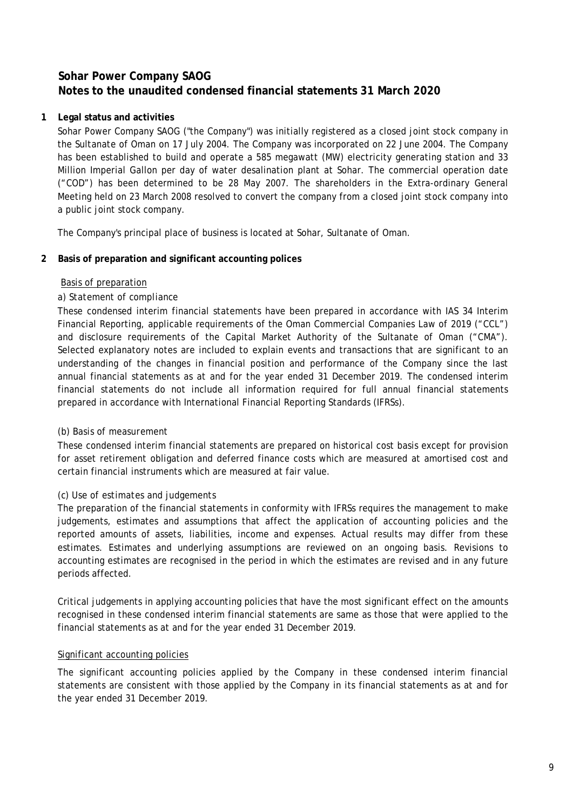### **1 Legal status and activities**

Sohar Power Company SAOG ("the Company") was initially registered as a closed joint stock company in the Sultanate of Oman on 17 July 2004. The Company was incorporated on 22 June 2004. The Company has been established to build and operate a 585 megawatt (MW) electricity generating station and 33 Million Imperial Gallon per day of water desalination plant at Sohar. The commercial operation date ("COD") has been determined to be 28 May 2007. The shareholders in the Extra-ordinary General Meeting held on 23 March 2008 resolved to convert the company from a closed joint stock company into a public joint stock company.

The Company's principal place of business is located at Sohar, Sultanate of Oman.

### **2 Basis of preparation and significant accounting polices**

### Basis of preparation

### *a) Statement of compliance*

These condensed interim financial statements have been prepared in accordance with IAS 34 Interim Financial Reporting, applicable requirements of the Oman Commercial Companies Law of 2019 ("CCL") and disclosure requirements of the Capital Market Authority of the Sultanate of Oman ("CMA"). Selected explanatory notes are included to explain events and transactions that are significant to an understanding of the changes in financial position and performance of the Company since the last annual financial statements as at and for the year ended 31 December 2019. The condensed interim financial statements do not include all information required for full annual financial statements prepared in accordance with International Financial Reporting Standards (IFRSs).

### *(b) Basis of measurement*

These condensed interim financial statements are prepared on historical cost basis except for provision for asset retirement obligation and deferred finance costs which are measured at amortised cost and certain financial instruments which are measured at fair value.

### *(c) Use of estimates and judgements*

The preparation of the financial statements in conformity with IFRSs requires the management to make judgements, estimates and assumptions that affect the application of accounting policies and the reported amounts of assets, liabilities, income and expenses. Actual results may differ from these estimates. Estimates and underlying assumptions are reviewed on an ongoing basis. Revisions to accounting estimates are recognised in the period in which the estimates are revised and in any future periods affected.

Critical judgements in applying accounting policies that have the most significant effect on the amounts recognised in these condensed interim financial statements are same as those that were applied to the financial statements as at and for the year ended 31 December 2019.

### Significant accounting policies

The significant accounting policies applied by the Company in these condensed interim financial statements are consistent with those applied by the Company in its financial statements as at and for the year ended 31 December 2019.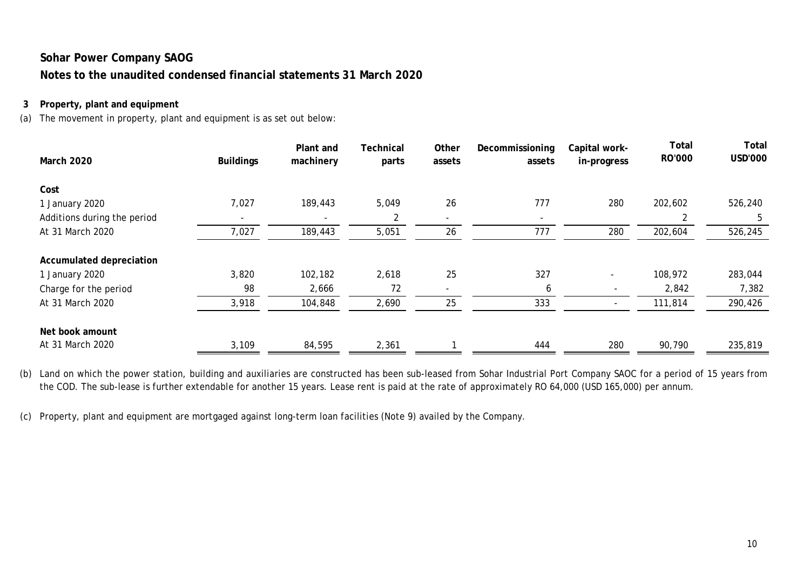### **3 Property, plant and equipment**

(a) The movement in property, plant and equipment is as set out below:

| <b>March 2020</b>           | <b>Buildings</b> | Plant and<br>machinery | Technical<br>parts | Other<br>assets | Decommissioning<br>assets | Capital work-<br>in-progress | Total<br>RO'000 | <b>Total</b><br><b>USD'000</b> |
|-----------------------------|------------------|------------------------|--------------------|-----------------|---------------------------|------------------------------|-----------------|--------------------------------|
| Cost                        |                  |                        |                    |                 |                           |                              |                 |                                |
| 1 January 2020              | 7,027            | 189,443                | 5,049              | 26              | 777                       | 280                          | 202,602         | 526,240                        |
| Additions during the period |                  |                        | 2                  | ۰               | $\overline{\phantom{0}}$  |                              | 2               | 5                              |
| At 31 March 2020            | 7,027            | 189,443                | 5,051              | 26              | 777                       | 280                          | 202,604         | 526,245                        |
| Accumulated depreciation    |                  |                        |                    |                 |                           |                              |                 |                                |
| 1 January 2020              | 3,820            | 102,182                | 2,618              | 25              | 327                       |                              | 108,972         | 283,044                        |
| Charge for the period       | 98               | 2,666                  | 72                 |                 | 6                         | $\overline{\phantom{a}}$     | 2,842           | 7,382                          |
| At 31 March 2020            | 3,918            | 104,848                | 2,690              | 25              | 333                       | $\overline{\phantom{a}}$     | 111,814         | 290,426                        |
| Net book amount             |                  |                        |                    |                 |                           |                              |                 |                                |
| At 31 March 2020            | 3,109            | 84,595                 | 2,361              |                 | 444                       | 280                          | 90,790          | 235,819                        |

(b) Land on which the power station, building and auxiliaries are constructed has been sub-leased from Sohar Industrial Port Company SAOC for a period of 15 years from the COD. The sub-lease is further extendable for another 15 years. Lease rent is paid at the rate of approximately RO 64,000 (USD 165,000) per annum.

(c) Property, plant and equipment are mortgaged against long-term loan facilities (Note 9) availed by the Company.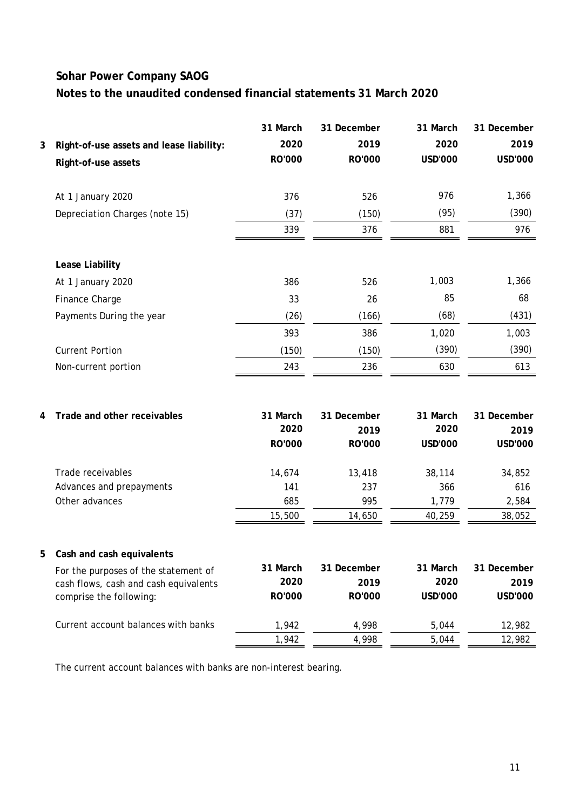|   |                                          | 31 March      | 31 December | 31 March       | 31 December    |
|---|------------------------------------------|---------------|-------------|----------------|----------------|
| 3 | Right-of-use assets and lease liability: | 2020          | 2019        | 2020           | 2019           |
|   | Right-of-use assets                      | RO'000        | RO'000      | USD'000        | USD'000        |
|   | At 1 January 2020                        | 376           | 526         | 976            | 1,366          |
|   | Depreciation Charges (note 15)           | (37)          | (150)       | (95)           | (390)          |
|   |                                          | 339           | 376         | 881            | 976            |
|   | Lease Liability                          |               |             |                |                |
|   | At 1 January 2020                        | 386           | 526         | 1,003          | 1,366          |
|   | Finance Charge                           | 33            | 26          | 85             | 68             |
|   | Payments During the year                 | (26)          | (166)       | (68)           | (431)          |
|   |                                          | 393           | 386         | 1,020          | 1,003          |
|   | <b>Current Portion</b>                   | (150)         | (150)       | (390)          | (390)          |
|   | Non-current portion                      | 243           | 236         | 630            | 613            |
|   |                                          |               |             |                |                |
| 4 | Trade and other receivables              | 31 March      | 31 December | 31 March       | 31 December    |
|   |                                          | 2020          | 2019        | 2020           | 2019           |
|   |                                          | <b>RO'000</b> | RO'000      | <b>USD'000</b> | <b>USD'000</b> |
|   | Trade receivables                        | 14,674        | 13,418      | 38,114         | 34,852         |
|   | Advances and prepayments                 | 141           | 237         | 366            | 616            |
|   | Other advances                           | 685           | 995         | 1,779          | 2,584          |
|   |                                          | 15,500        | 14,650      | 40,259         | 38,052         |
| b | Cash and cash equivalents                |               |             |                |                |
|   | For the purposes of the statement of     | 31 March      | 31 December | 31 March       | 31 December    |
|   | cash flows, cash and cash equivalents    | 2020          | 2019        | 2020           | 2019           |
|   | comprise the following:                  | RO'000        | RO'000      | <b>USD'000</b> | USD'000        |
|   | Current account balances with banks      | 1,942         | 4,998       | 5,044          | 12,982         |
|   |                                          | 1,942         | 4,998       | 5,044          | 12,982         |

The current account balances with banks are non-interest bearing.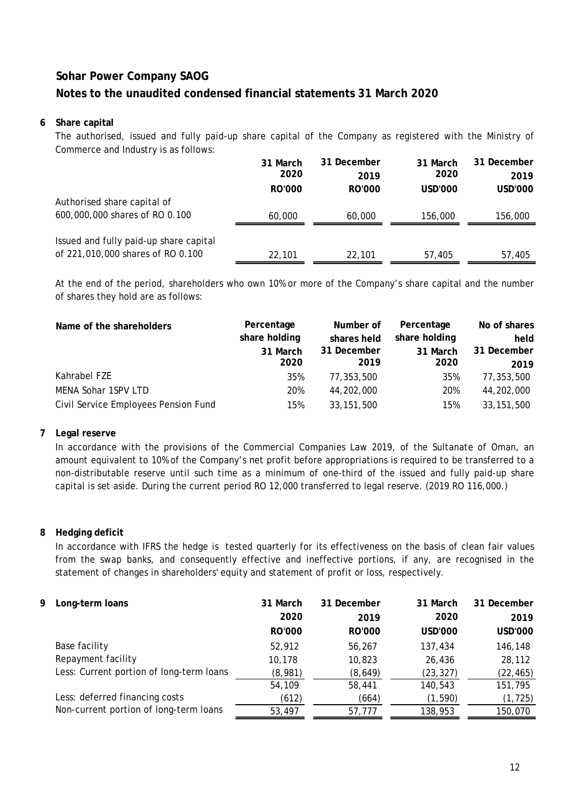### **6 Share capital**

The authorised, issued and fully paid-up share capital of the Company as registered with the Ministry of Commerce and Industry is as follows:

|                                        | 31 March      | 31 December   | 31 March | 31 December |
|----------------------------------------|---------------|---------------|----------|-------------|
|                                        | 2020          | 2019          | 2020     | 2019        |
|                                        | <b>RO'000</b> | <b>RO'000</b> | USD'000  | USD'000     |
| Authorised share capital of            |               |               |          |             |
| 600,000,000 shares of RO 0.100         | 60,000        | 60,000        | 156,000  | 156,000     |
|                                        |               |               |          |             |
| Issued and fully paid-up share capital |               |               |          |             |
| of 221,010,000 shares of RO 0.100      | 22,101        | 22,101        | 57,405   | 57,405      |

At the end of the period, shareholders who own 10% or more of the Company's share capital and the number of shares they hold are as follows:

| Name of the shareholders             | Percentage<br>share holding<br>31 March<br>2020 | Number of<br>shares held<br>31 December<br>2019 | Percentage<br>share holding<br>31 March<br>2020 | No of shares<br>held<br>31 December<br>2019 |
|--------------------------------------|-------------------------------------------------|-------------------------------------------------|-------------------------------------------------|---------------------------------------------|
| Kahrabel FZE                         | 35%                                             | 77,353,500                                      | 35%                                             | 77,353,500                                  |
| MENA Sohar 1SPV LTD                  | 20%                                             | 44,202,000                                      | 20%                                             | 44,202,000                                  |
| Civil Service Employees Pension Fund | 15%                                             | 33, 151, 500                                    | 15%                                             | 33, 151, 500                                |

### **7 Legal reserve**

In accordance with the provisions of the Commercial Companies Law 2019, of the Sultanate of Oman, an amount equivalent to 10% of the Company's net profit before appropriations is required to be transferred to a non-distributable reserve until such time as a minimum of one-third of the issued and fully paid-up share capital is set aside. During the current period RO 12,000 transferred to legal reserve. (2019 RO 116,000.)

### **8 Hedging deficit**

In accordance with IFRS the hedge is tested quarterly for its effectiveness on the basis of clean fair values from the swap banks, and consequently effective and ineffective portions, if any, are recognised in the statement of changes in shareholders' equity and statement of profit or loss, respectively.

| 9. | Long-term loans                          | 31 March<br>2020<br>RO'000 | 31 December<br>2019<br>RO'000 | 31 March<br>2020<br><b>USD'000</b> | 31 December<br>2019<br><b>USD'000</b> |
|----|------------------------------------------|----------------------------|-------------------------------|------------------------------------|---------------------------------------|
|    | Base facility                            | 52,912                     | 56,267                        | 137,434                            | 146,148                               |
|    | Repayment facility                       | 10.178                     | 10,823                        | 26,436                             | 28,112                                |
|    | Less: Current portion of long-term loans | (8,981)                    | (8,649)                       | (23, 327)                          | (22, 465)                             |
|    |                                          | 54,109                     | 58,441                        | 140,543                            | 151,795                               |
|    | Less: deferred financing costs           | (612)                      | (664)                         | (1, 590)                           | (1, 725)                              |
|    | Non-current portion of long-term loans   | 53,497                     | 57,777                        | 138,953                            | 150,070                               |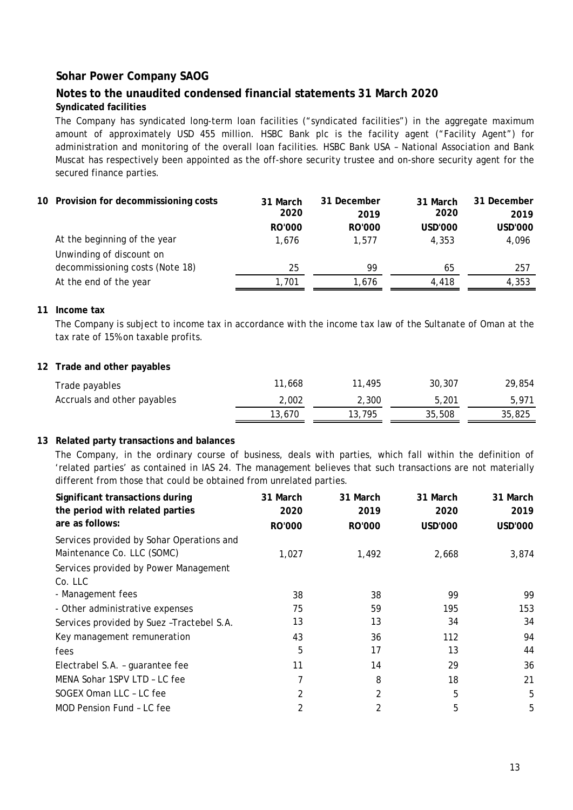### **Notes to the unaudited condensed financial statements 31 March 2020 Syndicated facilities**

The Company has syndicated long-term loan facilities ("syndicated facilities") in the aggregate maximum amount of approximately USD 455 million. HSBC Bank plc is the facility agent ("Facility Agent") for administration and monitoring of the overall loan facilities. HSBC Bank USA – National Association and Bank Muscat has respectively been appointed as the off-shore security trustee and on-shore security agent for the secured finance parties.

|  | 10 Provision for decommissioning costs | 31 March      | 31 December   | 31 March | 31 December    |
|--|----------------------------------------|---------------|---------------|----------|----------------|
|  |                                        | 2020          | 2019          | 2020     | 2019           |
|  |                                        | <b>RO'000</b> | <b>RO'000</b> | USD'000  | <b>USD'000</b> |
|  | At the beginning of the year           | 1.676         | 1.577         | 4,353    | 4,096          |
|  | Unwinding of discount on               |               |               |          |                |
|  | decommissioning costs (Note 18)        | 25            | 99            | 65       | 257            |
|  | At the end of the year                 | 1,701         | 1.676         | 4.418    | 4,353          |

#### **11 Income tax**

The Company is subject to income tax in accordance with the income tax law of the Sultanate of Oman at the tax rate of 15% on taxable profits.

#### **12 Trade and other payables**

| Trade payables              | 11.668 | .495   | 30,307 | 29,854 |
|-----------------------------|--------|--------|--------|--------|
| Accruals and other payables | 2.002  | 2.300  | 5.201  | 5.971  |
|                             | 13,670 | 13,795 | 35,508 | 35,825 |

#### **13 Related party transactions and balances**

The Company, in the ordinary course of business, deals with parties, which fall within the definition of 'related parties' as contained in IAS 24. The management believes that such transactions are not materially different from those that could be obtained from unrelated parties.

| Significant transactions during<br>the period with related parties      | 31 March<br>2020 | 31 March<br>2019 | 31 March<br>2020 | 31 March<br>2019 |
|-------------------------------------------------------------------------|------------------|------------------|------------------|------------------|
| are as follows:                                                         | <b>RO'000</b>    | RO'000           | USD'000          | USD'000          |
| Services provided by Sohar Operations and<br>Maintenance Co. LLC (SOMC) | 1,027            | 1,492            | 2,668            | 3,874            |
| Services provided by Power Management                                   |                  |                  |                  |                  |
| Co. LLC                                                                 |                  |                  |                  |                  |
| - Management fees                                                       | 38               | 38               | 99               | 99               |
| - Other administrative expenses                                         | 75               | 59               | 195              | 153              |
| Services provided by Suez-Tractebel S.A.                                | 13               | 13               | 34               | 34               |
| Key management remuneration                                             | 43               | 36               | 112              | 94               |
| fees                                                                    | 5                | 17               | 13               | 44               |
| Electrabel S.A. - guarantee fee                                         | 11               | 14               | 29               | 36               |
| MENA Sohar 1SPV LTD - LC fee                                            | 7                | 8                | 18               | 21               |
| SOGEX Oman LLC - LC fee                                                 | 2                | 2                | 5                | 5                |
| MOD Pension Fund - LC fee                                               | 2                | 2                | 5                | 5                |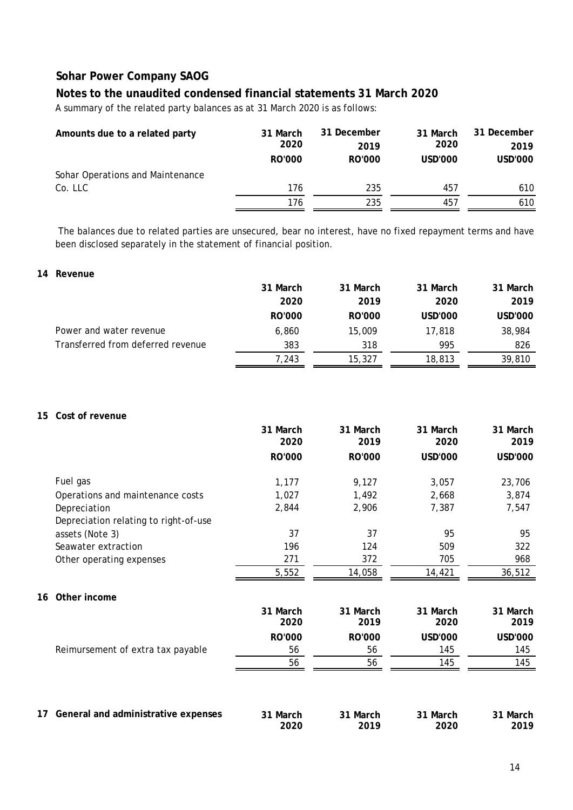### **Notes to the unaudited condensed financial statements 31 March 2020**

A summary of the related party balances as at 31 March 2020 is as follows:

| Amounts due to a related party   | 31 March<br>2020 | 31 December<br>2019 | 31 March<br>2020 | 31 December<br>2019 |
|----------------------------------|------------------|---------------------|------------------|---------------------|
|                                  | RO'000           | RO'000              | USD'000          | USD'000             |
| Sohar Operations and Maintenance |                  |                     |                  |                     |
| Co. LLC                          | 176              | 235                 | 457              | 610                 |
|                                  | 176              | 235                 | 457              | 610                 |

The balances due to related parties are unsecured, bear no interest, have no fixed repayment terms and have been disclosed separately in the statement of financial position.

### **14 Revenue**

|                                   | 31 March | 31 March      | 31 March | 31 March |
|-----------------------------------|----------|---------------|----------|----------|
|                                   | 2020     | 2019          | 2020     | 2019     |
|                                   | RO'000   | <b>RO'000</b> | USD'000  | USD'000  |
| Power and water revenue           | 6,860    | 15,009        | 17,818   | 38,984   |
| Transferred from deferred revenue | 383      | 318           | 995      | 826      |
|                                   | 7,243    | 15,327        | 18,813   | 39,810   |

#### **15 Cost of revenue**

|    |                                       | 31 March         | 31 March         | 31 March         | 31 March         |
|----|---------------------------------------|------------------|------------------|------------------|------------------|
|    |                                       | 2020             | 2019             | 2020             | 2019             |
|    |                                       | RO'000           | RO'000           | <b>USD'000</b>   | USD'000          |
|    | Fuel gas                              | 1,177            | 9,127            | 3,057            | 23,706           |
|    | Operations and maintenance costs      | 1,027            | 1,492            | 2,668            | 3,874            |
|    | Depreciation                          | 2,844            | 2,906            | 7,387            | 7,547            |
|    | Depreciation relating to right-of-use |                  |                  |                  |                  |
|    | assets (Note 3)                       | 37               | 37               | 95               | 95               |
|    | Seawater extraction                   | 196              | 124              | 509              | 322              |
|    | Other operating expenses              | 271              | 372              | 705              | 968              |
|    |                                       | 5,552            | 14,058           | 14,421           | 36,512           |
| 16 | Other income                          |                  |                  |                  |                  |
|    |                                       | 31 March<br>2020 | 31 March<br>2019 | 31 March<br>2020 | 31 March<br>2019 |
|    |                                       | <b>RO'000</b>    | <b>RO'000</b>    | <b>USD'000</b>   | <b>USD'000</b>   |
|    | Reimursement of extra tax payable     | 56               | 56               | 145              | 145              |
|    |                                       | 56               | 56               | 145              | 145              |
|    |                                       |                  |                  |                  |                  |
| 17 | General and administrative expenses   | 31 March<br>2020 | 31 March<br>2019 | 31 March<br>2020 | 31 March<br>2019 |
|    |                                       |                  |                  |                  |                  |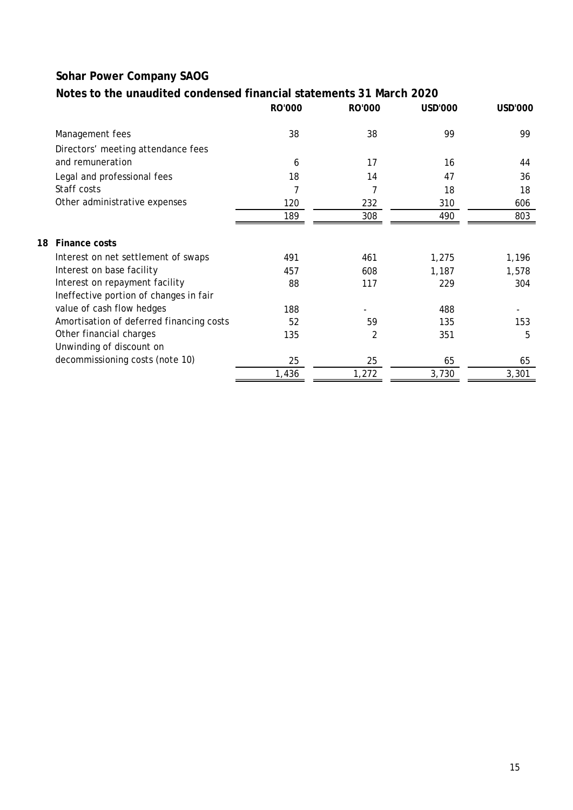# **Notes to the unaudited condensed financial statements 31 March 2020**

|                                          | <b>RO'000</b> | <b>RO'000</b>  | <b>USD'000</b> | USD'000 |
|------------------------------------------|---------------|----------------|----------------|---------|
| Management fees                          | 38            | 38             | 99             | 99      |
| Directors' meeting attendance fees       |               |                |                |         |
| and remuneration                         | 6             | 17             | 16             | 44      |
| Legal and professional fees              | 18            | 14             | 47             | 36      |
| Staff costs                              | 7             | 7              | 18             | 18      |
| Other administrative expenses            | 120           | 232            | 310            | 606     |
|                                          | 189           | 308            | 490            | 803     |
| Finance costs<br>18                      |               |                |                |         |
| Interest on net settlement of swaps      | 491           | 461            | 1,275          | 1,196   |
| Interest on base facility                | 457           | 608            | 1,187          | 1,578   |
| Interest on repayment facility           | 88            | 117            | 229            | 304     |
| Ineffective portion of changes in fair   |               |                |                |         |
| value of cash flow hedges                | 188           |                | 488            |         |
| Amortisation of deferred financing costs | 52            | 59             | 135            | 153     |
| Other financial charges                  | 135           | $\overline{2}$ | 351            | 5       |
| Unwinding of discount on                 |               |                |                |         |
| decommissioning costs (note 10)          | 25            | 25             | 65             | 65      |
|                                          | 1,436         | 1,272          | 3,730          | 3,301   |